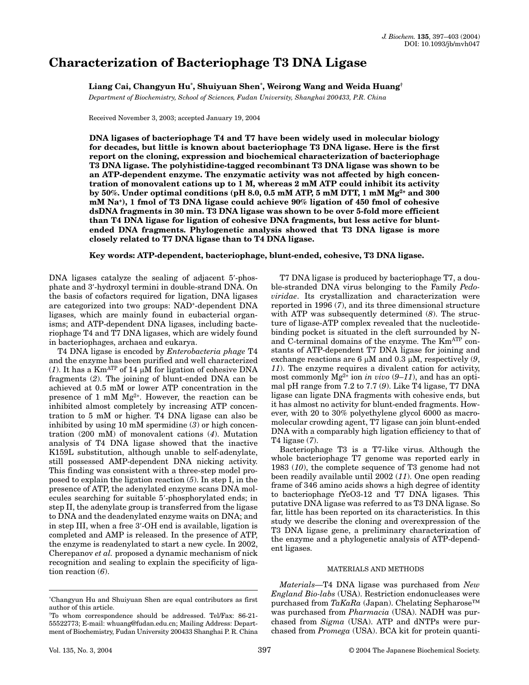# <span id="page-0-0"></span>**Characterization of Bacteriophage T3 DNA Ligase**

**Liang Cai, Changyun Hu\*, Shuiyuan She[n\\*,](#page-0-0) Weirong Wang and Weida Huang†**

*Department of Biochemistry, School of Sciences, Fudan University, Shanghai 200433, P.R. China*

Received November 3, 2003; accepted January 19, 2004

**DNA ligases of bacteriophage T4 and T7 have been widely used in molecular biology for decades, but little is known about bacteriophage T3 DNA ligase. Here is the first report on the cloning, expression and biochemical characterization of bacteriophage T3 DNA ligase. The polyhistidine-tagged recombinant T3 DNA ligase was shown to be an ATP-dependent enzyme. The enzymatic activity was not affected by high concentration of monovalent cations up to 1 M, whereas 2 mM ATP could inhibit its activity by 50%. Under optimal conditions (pH 8.0, 0.5 mM ATP, 5 mM DTT, 1 mM Mg2+ and 300 mM Na+), 1 fmol of T3 DNA ligase could achieve 90% ligation of 450 fmol of cohesive dsDNA fragments in 30 min. T3 DNA ligase was shown to be over 5-fold more efficient than T4 DNA ligase for ligation of cohesive DNA fragments, but less active for bluntended DNA fragments. Phylogenetic analysis showed that T3 DNA ligase is more closely related to T7 DNA ligase than to T4 DNA ligase.**

**Key words: ATP-dependent, bacteriophage, blunt-ended, cohesive, T3 DNA ligase.**

DNA ligases catalyze the sealing of adjacent 5′-phosphate and 3′-hydroxyl termini in double-strand DNA. On the basis of cofactors required for ligation, DNA ligases are categorized into two groups: NAD+-dependent DNA ligases, which are mainly found in eubacterial organisms; and ATP-dependent DNA ligases, including bacteriophage T4 and T7 DNA ligases, which are widely found in bacteriophages, archaea and eukarya.

T4 DNA ligase is encoded by *Enterobacteria phage* T4 and the enzyme has been purified and well characterized ([1](#page-5-0)). It has a Km<sup>ATP</sup> of 14  $\mu$ M for ligation of cohesive DNA fragments (*[2](#page-5-1)*). The joining of blunt-ended DNA can be achieved at 0.5 mM or lower ATP concentration in the presence of 1 mM  $Mg^{2+}$ . However, the reaction can be inhibited almost completely by increasing ATP concentration to 5 mM or higher. T4 DNA ligase can also be inhibited by using 10 mM spermidine (*[3](#page-5-2)*) or high concentration (200 mM) of monovalent cations (*[4](#page-5-3)*). Mutation analysis of T4 DNA ligase showed that the inactive K159L substitution, although unable to self-adenylate, still possessed AMP-dependent DNA nicking activity. This finding was consistent with a three-step model proposed to explain the ligation reaction (*[5](#page-5-4)*). In step I, in the presence of ATP, the adenylated enzyme scans DNA molecules searching for suitable 5′-phosphorylated ends; in step II, the adenylate group is transferred from the ligase to DNA and the deadenylated enzyme waits on DNA; and in step III, when a free 3′-OH end is available, ligation is completed and AMP is released. In the presence of ATP, the enzyme is readenylated to start a new cycle. In 2002, Cherepanov *et al.* proposed a dynamic mechanism of nick recognition and sealing to explain the specificity of ligation reaction (*[6](#page-5-5)*).

T7 DNA ligase is produced by bacteriophage T7, a double-stranded DNA virus belonging to the Family *Pedoviridae*. Its crystallization and characterization were reported in 1996 (*[7](#page-5-6)*), and its three dimensional structure with ATP was subsequently determined (*[8](#page-5-7)*). The structure of ligase-ATP complex revealed that the nucleotidebinding pocket is situated in the cleft surrounded by Nand C-terminal domains of the enzyme. The Km<sup>ATP</sup> constants of ATP-dependent T7 DNA ligase for joining and exchange reactions are 6 µM and 0.3 µM, respectively (*[9](#page-6-0)*, *[11](#page-6-1)*). The enzyme requires a divalent cation for activity, most commonly  $Mg^{2+}$  ion *in vivo*  $(9-11)$  $(9-11)$  $(9-11)$  $(9-11)$  $(9-11)$ , and has an optimal pH range from 7.2 to 7.7 (*[9](#page-6-0)*). Like T4 ligase, T7 DNA ligase can ligate DNA fragments with cohesive ends, but it has almost no activity for blunt-ended fragments. However, with 20 to 30% polyethylene glycol 6000 as macromolecular crowding agent, T7 ligase can join blunt-ended DNA with a comparably high ligation efficiency to that of T4 ligase (*[7](#page-5-6)*).

Bacteriophage T3 is a T7-like virus. Although the whole bacteriophage T7 genome was reported early in 1983 (*[10](#page-6-2)*), the complete sequence of T3 genome had not been readily available until 2002 (*[11](#page-6-1)*). One open reading frame of 346 amino acids shows a high degree of identity to bacteriophage fYeO3-12 and T7 DNA ligases. This putative DNA ligase was referred to as T3 DNA ligase. So far, little has been reported on its characteristics. In this study we describe the cloning and overexpression of the T3 DNA ligase gene, a preliminary characterization of the enzyme and a phylogenetic analysis of ATP-dependent ligases.

## MATERIALS AND METHODS

*Materials—*T4 DNA ligase was purchased from *New England Bio-labs* (USA). Restriction endonucleases were purchased from *TaKaRa* (Japan). Chelating Sepharose™ was purchased from *Pharmacia* (USA). NADH was purchased from *Sigma* (USA). ATP and dNTPs were purchased from *Promega* (USA). BCA kit for protein quanti-

<sup>\*</sup>Changyun Hu and Shuiyuan Shen are equal contributors as first author of this article.

<sup>†</sup>To whom correspondence should be addressed. Tel/Fax: 86-21- 55522773; E-mail: whuang@fudan.edu.cn; Mailing Address: Department of Biochemistry, Fudan University 200433 Shanghai P. R. China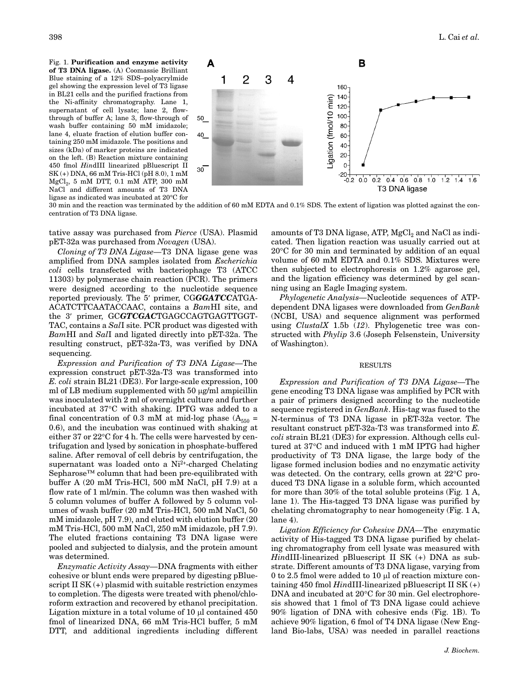Fig. 1. **Purification and enzyme activity of T3 DNA ligase.** (A) Coomassie Brilliant Blue staining of a 12% SDS–polyacrylmide gel showing the expression level of T3 ligase in BL21 cells and the purified fractions from the Ni-affinity chromatography. Lane 1, supernatant of cell lysate; lane 2, flowthrough of buffer A; lane 3, flow-through of wash buffer containing 50 mM imidazole; lane 4, eluate fraction of elution buffer containing 250 mM imidazole. The positions and sizes (kDa) of marker proteins are indicated on the left. (B) Reaction mixture containing 450 fmol *Hin*dIII linearized pBluescript II SK (+) DNA, 66 mM Tris-HCl (pH 8.0), 1 mM  $MgCl<sub>2</sub>$ , 5 mM DTT, 0.1 mM ATP, 300 mM NaCl and different amounts of T3 DNA ligase as indicated was incubated at 20°C for



30 min and the reaction was terminated by the addition of 60 mM EDTA and 0.1% SDS. The extent of ligation was plotted against the concentration of T3 DNA ligase.

tative assay was purchased from *Pierce* (USA). Plasmid pET-32a was purchased from *Novagen* (USA).

*Cloning of T3 DNA Ligase—*T3 DNA ligase gene was amplified from DNA samples isolated from *Escherichia coli* cells transfected with bacteriophage T3 (ATCC 11303) by polymerase chain reaction (PCR). The primers were designed according to the nucleotide sequence reported previously. The 5′ primer, CG*GGATCC*ATGA-ACATCTTCAATACCAAC, contains a *Bam*HI site, and the 3′ primer, GC*GTCGAC*TGAGCCAGTGAGTTGGT-TAC, contains a *Sal*I site. PCR product was digested with *Bam*HI and *Sal*I and ligated directly into pET-32a. The resulting construct, pET-32a-T3, was verified by DNA sequencing.

*Expression and Purification of T3 DNA Ligase—*The expression construct pET-32a-T3 was transformed into *E. coli* strain BL21 (DE3). For large-scale expression, 100 ml of LB medium supplemented with 50 µg/ml ampicillin was inoculated with 2 ml of overnight culture and further incubated at 37°C with shaking. IPTG was added to a final concentration of 0.3 mM at mid-log phase  $(A_{550} =$ 0.6), and the incubation was continued with shaking at either 37 or 22°C for 4 h. The cells were harvested by centrifugation and lysed by sonication in phosphate-buffered saline. After removal of cell debris by centrifugation, the supernatant was loaded onto a Ni2+-charged Chelating Sepharose™ column that had been pre-equilibrated with buffer A (20 mM Tris-HCl, 500 mM NaCl, pH 7.9) at a flow rate of 1 ml/min. The column was then washed with 5 column volumes of buffer A followed by 5 column volumes of wash buffer (20 mM Tris-HCl, 500 mM NaCl, 50 mM imidazole, pH 7.9), and eluted with elution buffer (20 mM Tris-HCl, 500 mM NaCl, 250 mM imidazole, pH 7.9). The eluted fractions containing T3 DNA ligase were pooled and subjected to dialysis, and the protein amount was determined.

*Enzymatic Activity Assay—*DNA fragments with either cohesive or blunt ends were prepared by digesting pBluescript II  $SK(+)$  plasmid with suitable restriction enzymes to completion. The digests were treated with phenol/chloroform extraction and recovered by ethanol precipitation. Ligation mixture in a total volume of 10 µl contained 450 fmol of linearized DNA, 66 mM Tris-HCl buffer, 5 mM DTT, and additional ingredients including different

amounts of T3 DNA ligase, ATP,  $MgCl<sub>2</sub>$  and NaCl as indicated. Then ligation reaction was usually carried out at 20°C for 30 min and terminated by addition of an equal volume of 60 mM EDTA and 0.1% SDS. Mixtures were then subjected to electrophoresis on 1.2% agarose gel, and the ligation efficiency was determined by gel scanning using an Eagle Imaging system.

*Phylogenetic Analysis—*Nucleotide sequences of ATPdependent DNA ligases were downloaded from *GenBank* (NCBI, USA) and sequence alignment was performed using *ClustalX* 1.5b (*[12](#page-6-3)*). Phylogenetic tree was constructed with *Phylip* 3.6 (Joseph Felsenstein, University of Washington).

### RESULTS

*Expression and Purification of T3 DNA Ligase—*The gene encoding T3 DNA ligase was amplified by PCR with a pair of primers designed according to the nucleotide sequence registered in *GenBank*. His-tag was fused to the N-terminus of T3 DNA ligase in pET-32a vector. The resultant construct pET-32a-T3 was transformed into *E. coli* strain BL21 (DE3) for expression. Although cells cultured at 37°C and induced with 1 mM IPTG had higher productivity of T3 DNA ligase, the large body of the ligase formed inclusion bodies and no enzymatic activity was detected. On the contrary, cells grown at 22°C produced T3 DNA ligase in a soluble form, which accounted for more than 30% of the total soluble proteins (Fig. [1](#page-6-4) A, lane 1). The His-tagged T3 DNA ligase was purified by chelating chromatography to near homogeneity (Fig. [1](#page-6-4) A, lane 4).

*Ligation Efficiency for Cohesive DNA—*The enzymatic activity of His-tagged T3 DNA ligase purified by chelating chromatography from cell lysate was measured with *Hin*dIII-linearized pBluescript II SK (+) DNA as substrate. Different amounts of T3 DNA ligase, varying from 0 to 2.5 fmol were added to 10 µl of reaction mixture containing 450 fmol *Hin*dIII-linearized pBluescript II SK (+) DNA and incubated at 20°C for 30 min. Gel electrophoresis showed that 1 fmol of T3 DNA ligase could achieve 90% ligation of DNA with cohesive ends (Fig. [1B](#page-6-4)). To achieve 90% ligation, 6 fmol of T4 DNA ligase (New England Bio-labs, USA) was needed in parallel reactions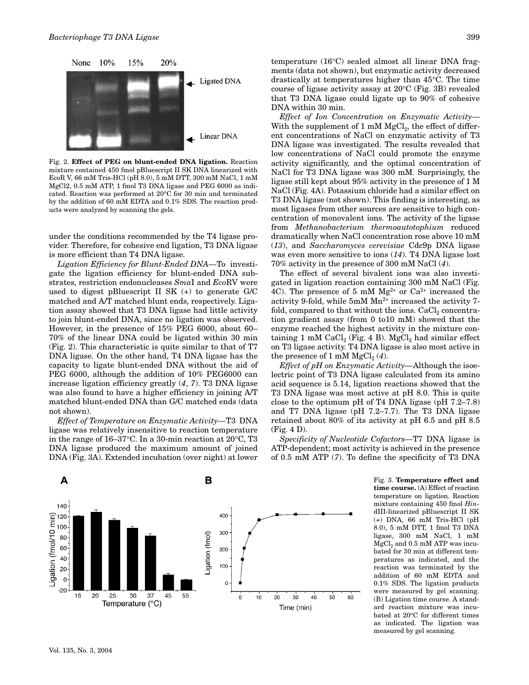

Fig. 2. **Effect of PEG on blunt-ended DNA ligation.** Reaction mixture contained 450 fmol pBluescript II SK DNA linearized with EcoR V, 66 mM Tris-HCl (pH 8.0), 5 mM DTT, 300 mM NaCl, 1 mM MgCl2, 0.5 mM ATP, 1 fmol T3 DNA ligase and PEG 6000 as indi-cated. Reaction was performed at 20°C for 30 min and terminated by the addition of 60 mM EDTA and 0.1% SDS. The reaction products were analyzed by scanning the gels.

under the conditions recommended by the T4 ligase provider. Therefore, for cohesive end ligation, T3 DNA ligase is more efficient than T4 DNA ligase.

*Ligation Efficiency for Blunt-Ended DNA—*To investigate the ligation efficiency for blunt-ended DNA substrates, restriction endonucleases *Sma*I and *Eco*RV were used to digest pBluescript II SK (+) to generate G/C matched and A/T matched blunt ends, respectively. Ligation assay showed that T3 DNA ligase had little activity to join blunt-ended DNA, since no ligation was observed. However, in the presence of 15% PEG 6000, about 60– 70% of the linear DNA could be ligated within 30 min (Fig. [2](#page-6-4)). This characteristic is quite similar to that of T7 DNA ligase. On the other hand, T4 DNA ligase has the capacity to ligate blunt-ended DNA without the aid of PEG 6000, although the addition of 10% PEG6000 can increase ligation efficiency greatly (*[4](#page-5-3)*, *[7](#page-5-6)*). T3 DNA ligase was also found to have a higher efficiency in joining A/T matched blunt-ended DNA than G/C matched ends (data not shown).

*Effect of Temperature on Enzymatic Activity—*T3 DNA ligase was relatively insensitive to reaction temperature in the range of 16–37°C. In a 30-min reaction at 20°C, T3 DNA ligase produced the maximum amount of joined DNA (Fig. [3](#page-6-4)A). Extended incubation (over night) at lower temperature (16°C) sealed almost all linear DNA fragments (data not shown), but enzymatic activity decreased drastically at temperatures higher than 45°C. The time course of ligase activity assay at 20°C (Fig. [3B](#page-6-4)) revealed that T3 DNA ligase could ligate up to 90% of cohesive DNA within 30 min.

*Effect of Ion Concentration on Enzymatic Activity—* With the supplement of  $1 \text{ mM } MgCl<sub>2</sub>$ , the effect of different concentrations of NaCl on enzymatic activity of T3 DNA ligase was investigated. The results revealed that low concentrations of NaCl could promote the enzyme activity significantly, and the optimal concentration of NaCl for T3 DNA ligase was 300 mM. Surprisingly, the ligase still kept about 95% activity in the presence of 1 M NaCl (Fig. [4A](#page-6-4)). Potassium chloride had a similar effect on T3 DNA ligase (not shown). This finding is interesting, as most ligases from other sources are sensitive to high concentration of monovalent ions. The activity of the ligase from *Methanobacterium thermoautotophium* reduced dramatically when NaCl concentration rose above 10 mM (*[13](#page-6-5)*), and *Saccharomyces cerevisiae* Cdc9p DNA ligase was even more sensitive to ions (*[14](#page-6-6)*). T4 DNA ligase lost 70% activity in the presence of 300 mM NaCl (*[4](#page-5-3)*).

The effect of several bivalent ions was also investigated in ligation reaction containing 300 mM NaCl (Fig. [4](#page-6-4)C). The presence of 5 mM  $Mg^{2+}$  or  $Ca^{2+}$  increased the activity 9-fold, while  $5mM$   $Mn^{2+}$  increased the activity 7fold, compared to that without the ions. CaCl<sub>2</sub> concentration gradient assay (from 0 to10 mM) showed that the enzyme reached the highest activity in the mixture containing 1 mM  $CaCl<sub>2</sub>$  (Fig. [4](#page-6-4) B). MgCl<sub>2</sub> had similar effect on T3 ligase activity. T4 DNA ligase is also most active in the presence of 1 mM  $MgCl<sub>2</sub>(4)$  $MgCl<sub>2</sub>(4)$  $MgCl<sub>2</sub>(4)$ .

*Effect of pH on Enzymatic Activity—*Although the isoelectric point of T3 DNA ligase calculated from its amino acid sequence is 5.14, ligation reactions showed that the T3 DNA ligase was most active at pH 8.0. This is quite close to the optimum pH of T4 DNA ligase (pH 7.2–7.8) and T7 DNA ligase (pH 7.2–7.7). The T3 DNA ligase retained about 80% of its activity at pH 6.5 and pH 8.5 (Fig. [4](#page-6-4) D).

*Specificity of Nucleotide Cofactors—*T7 DNA ligase is ATP-dependent; most activity is achieved in the presence of 0.5 mM ATP (*[7](#page-5-6)*). To define the specificity of T3 DNA



Fig. 3. **Temperature effect and time course.** (A) Effect of reaction temperature on ligation. Reaction mixture containing 450 fmol *Hin*dIII-linearized pBluescript II SK (+) DNA, 66 mM Tris-HCl (pH 8.0), 5 mM DTT, 1 fmol T3 DNA ligase, 300 mM NaCl, 1 mM  $MgCl<sub>2</sub>$  and 0.5 mM ATP was incubated for 30 min at different temperatures as indicated, and the reaction was terminated by the addition of 60 mM EDTA and 0.1% SDS. The ligation products were measured by gel scanning. (B) Ligation time course. A standard reaction mixture was incu-bated at 20°C for different times as indicated. The ligation was measured by gel scanning.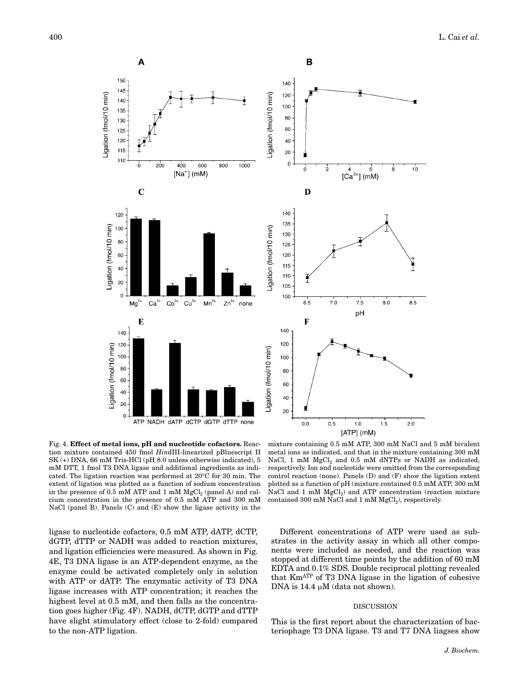

Fig. 4. **Effect of metal ions, pH and nucleotide cofactors.** Reaction mixture contained 450 fmol *Hin*dIII-linearized pBluescript II SK (+) DNA, 66 mM Tris-HCl (pH 8.0 unless otherwise indicated), 5 mM DTT, 1 fmol T3 DNA ligase and additional ingredients as indicated. The ligation reaction was performed at 20°C for 30 min. The extent of ligation was plotted as a function of sodium concentration in the presence of 0.5 mM ATP and 1 mM  $MgCl<sub>2</sub>$  (panel A) and calcium concentration in the presence of 0.5 mM ATP and 300 mM NaCl (panel B). Panels (C) and (E) show the ligase activity in the

metal ions as indicated, and that in the mixture containing 300 mM NaCl, 1 mM MgCl<sub>2</sub> and 0.5 mM dNTPs or NADH as indicated, respectively. Ion and nucleotide were omitted from the corresponding control reaction (none). Panels (D) and (F) show the ligation extent plotted as a function of pH (mixture contained 0.5 mM ATP, 300 mM NaCl and 1 mM  $MgCl<sub>2</sub>$ ) and ATP concentration (reaction mixture contained 300 mM NaCl and  $1 \text{ mM MgCl}_2$ ), respectively.

ligase to nucleotide cofactors, 0.5 mM ATP, dATP, dCTP, dGTP, dTTP or NADH was added to reaction mixtures, and ligation efficiencies were measured. As shown in Fig. [4E](#page-6-4), T3 DNA ligase is an ATP-dependent enzyme, as the enzyme could be activated completely only in solution with ATP or dATP. The enzymatic activity of T3 DNA ligase increases with ATP concentration; it reaches the highest level at  $0.5$  mM, and then falls as the concentration goes higher (Fig. [4](#page-6-4)F). NADH, dCTP, dGTP and dTTP have slight stimulatory effect (close to 2-fold) compared to the non-ATP ligation.

Different concentrations of ATP were used as substrates in the activity assay in which all other components were included as needed, and the reaction was stopped at different time points by the addition of 60 mM EDTA and 0.1% SDS. Double reciprocal plotting revealed that KmATP of T3 DNA ligase in the ligation of cohesive DNA is  $14.4 \mu M$  (data not shown).

#### DISCUSSION

This is the first report about the characterization of bacteriophage T3 DNA ligase. T3 and T7 DNA liagses show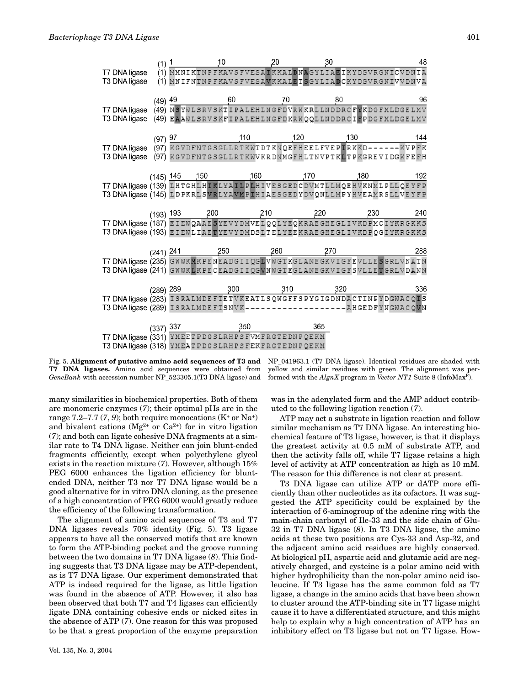| T7 DNA ligase                                                                                                                                                                                                                                                                                                                                                                                                  |  |  |  |                                                                                                                                |
|----------------------------------------------------------------------------------------------------------------------------------------------------------------------------------------------------------------------------------------------------------------------------------------------------------------------------------------------------------------------------------------------------------------|--|--|--|--------------------------------------------------------------------------------------------------------------------------------|
| T3 DNA ligase                                                                                                                                                                                                                                                                                                                                                                                                  |  |  |  | 48 10 10 20 30<br>(1) MMNIKTNPFKAVSFVESAIKKALDNAGYLIAEIKYDGVRGNICVDNTA<br>(1) MNIFNTNPFKAVSFVESAVKKALETSGYLIADCKYDGVRGNIVVDNVA |
|                                                                                                                                                                                                                                                                                                                                                                                                                |  |  |  |                                                                                                                                |
|                                                                                                                                                                                                                                                                                                                                                                                                                |  |  |  |                                                                                                                                |
| $\begin{array}{cccc} \text{(49)} \ 49 & 49 & 60 & 70 & 80 & 96 \\ \text{TT DNA ligase} \  \, (49) \ \text{NSYWLSRVSKTIPALEHLMGFDVRWKRLLMDDRCFYKDGFMLDGELMW} \\ \text{TS DNA ligase} \  \, (49) \ \text{EAAWLSRVSKFIPALEHLMGFDKRWQQLLMDDRCIFPDGFMLDGELMW} \end{array}$                                                                                                                                          |  |  |  |                                                                                                                                |
|                                                                                                                                                                                                                                                                                                                                                                                                                |  |  |  |                                                                                                                                |
|                                                                                                                                                                                                                                                                                                                                                                                                                |  |  |  |                                                                                                                                |
|                                                                                                                                                                                                                                                                                                                                                                                                                |  |  |  |                                                                                                                                |
| $\begin{tabular}{ll} (97) $97$ & $110$ & $120$ & $130$ & $144$ \\ \hline \text{T7 DNA ligase} & (97) KGVDFNTSSGLLRTKWTDTKNQEFHEELFVEPIRKKD---KVPFK \\ \text{T3 DNA ligase} & (97) KGVDFNTSSGLLRTKWVRKDMMGFHLTNVFTKLTPKGREVIDGKFEFH \\ \end{tabular}$                                                                                                                                                           |  |  |  |                                                                                                                                |
|                                                                                                                                                                                                                                                                                                                                                                                                                |  |  |  |                                                                                                                                |
|                                                                                                                                                                                                                                                                                                                                                                                                                |  |  |  |                                                                                                                                |
|                                                                                                                                                                                                                                                                                                                                                                                                                |  |  |  |                                                                                                                                |
|                                                                                                                                                                                                                                                                                                                                                                                                                |  |  |  |                                                                                                                                |
| $(145) \small{\hbox{\small{145}}\hbox{\small{150}}\hbox{\small{160}}\hbox{\small{170}}\hbox{\small{180}}\hbox{\small{192}}\hbox{\small{192}}\hbox{\small{192}}\hbox{\small{193}}\hbox{\small{145}}\hbox{\small{156}}\hbox{\small{157}}\hbox{\small{168}}\hbox{\small{169}}\hbox{\small{178}}\hbox{\small{179}}\hbox{\small{179}}\hbox{\small{179}}\hbox{\small{179}}\hbox{\small{189}}\hbox{\small{189}}\hbox$ |  |  |  |                                                                                                                                |
|                                                                                                                                                                                                                                                                                                                                                                                                                |  |  |  |                                                                                                                                |
|                                                                                                                                                                                                                                                                                                                                                                                                                |  |  |  |                                                                                                                                |
|                                                                                                                                                                                                                                                                                                                                                                                                                |  |  |  |                                                                                                                                |
|                                                                                                                                                                                                                                                                                                                                                                                                                |  |  |  |                                                                                                                                |
|                                                                                                                                                                                                                                                                                                                                                                                                                |  |  |  |                                                                                                                                |
|                                                                                                                                                                                                                                                                                                                                                                                                                |  |  |  |                                                                                                                                |
|                                                                                                                                                                                                                                                                                                                                                                                                                |  |  |  |                                                                                                                                |
| $\begin{array}{c} \text{(193)}~\text{193} \text{200} \text{210} \text{220} \text{230} \text{240} \\ \text{17 DNA ligase (187) EIENQAAESYEVYDWELQQLYEQKRAEGHEGLIVKDPMCIYKRGKKS} \\ \text{13 DNA ligase (193) EIEWLIAETYEVYDMDSLTELYEERRAEGHEGLIVKDPQGIYKRGKKS} \end{array}$                                                                                                                                     |  |  |  |                                                                                                                                |
|                                                                                                                                                                                                                                                                                                                                                                                                                |  |  |  |                                                                                                                                |
|                                                                                                                                                                                                                                                                                                                                                                                                                |  |  |  |                                                                                                                                |
|                                                                                                                                                                                                                                                                                                                                                                                                                |  |  |  |                                                                                                                                |
|                                                                                                                                                                                                                                                                                                                                                                                                                |  |  |  |                                                                                                                                |
| $\begin{array}{c} \text{(241)} \begin{array}{c} 241 \end{array} & \text{(242)}\\ \text{17 DNA ligase (235) GWWKMEENEDGILQGLVWGTKGLANEGKVIGFEVLLESGRLVNATN}\\ \text{13 DNA ligase (241) GWWKLKPECEADGILQGVMWGTEGLANEGKVIGFSVLLETGRLVDANN} \end{array}$                                                                                                                                                          |  |  |  |                                                                                                                                |
|                                                                                                                                                                                                                                                                                                                                                                                                                |  |  |  |                                                                                                                                |
|                                                                                                                                                                                                                                                                                                                                                                                                                |  |  |  |                                                                                                                                |
|                                                                                                                                                                                                                                                                                                                                                                                                                |  |  |  |                                                                                                                                |
|                                                                                                                                                                                                                                                                                                                                                                                                                |  |  |  |                                                                                                                                |
|                                                                                                                                                                                                                                                                                                                                                                                                                |  |  |  |                                                                                                                                |
|                                                                                                                                                                                                                                                                                                                                                                                                                |  |  |  |                                                                                                                                |
|                                                                                                                                                                                                                                                                                                                                                                                                                |  |  |  |                                                                                                                                |
| $\begin{array}{cc}\n (337) \ \frac{337}{350} & \frac{350}{365} \\ \hline\n 17 \text{ DNA ligase} & (331) \ \text{YMEETPDGSLRHPSTVMFRGTEDNPQEM} \end{array}$<br>T3 DNA ligase (318) YMEATPDGSLRHPSFEKFRGTEDNPQEKM                                                                                                                                                                                               |  |  |  |                                                                                                                                |



NP\_041963.1 (T7 DNA ligase). Identical residues are shaded with yellow and similar residues with green. The alignment was performed with the *AlgnX* program in *Vector NT1* Suite 8 (InfoMaxR).

many similarities in biochemical properties. Both of them are monomeric enzymes (*[7](#page-5-6)*); their optimal pHs are in the range  $7.2-7.7(7, 9)$  $7.2-7.7(7, 9)$  $7.2-7.7(7, 9)$  $7.2-7.7(7, 9)$ ; both require monocations  $(K<sup>+</sup>$  or Na<sup>+</sup>) and bivalent cations ( $Mg^{2+}$  or  $Ca^{2+}$ ) for in vitro ligation (*[7](#page-5-6)*); and both can ligate cohesive DNA fragments at a similar rate to T4 DNA ligase. Neither can join blunt-ended fragments efficiently, except when polyethylene glycol exists in the reaction mixture (*[7](#page-5-6)*). However, although 15% PEG 6000 enhances the ligation efficiency for bluntended DNA, neither T3 nor T7 DNA ligase would be a good alternative for in vitro DNA cloning, as the presence of a high concentration of PEG 6000 would greatly reduce the efficiency of the following transformation.

The alignment of amino acid sequences of T3 and T7 DNA ligases reveals 70% identity (Fig. [5\)](#page-6-4). T3 ligase appears to have all the conserved motifs that are known to form the ATP-binding pocket and the groove running between the two domains in T7 DNA ligase (*[8](#page-5-7)*). This finding suggests that T3 DNA ligase may be ATP-dependent, as is T7 DNA ligase. Our experiment demonstrated that ATP is indeed required for the ligase, as little ligation was found in the absence of ATP. However, it also has been observed that both T7 and T4 ligases can efficiently ligate DNA containing cohesive ends or nicked sites in the absence of ATP (*[7](#page-5-6)*). One reason for this was proposed to be that a great proportion of the enzyme preparation

Vol. 135, No. 3, 2004

was in the adenylated form and the AMP adduct contributed to the following ligation reaction (*[7](#page-5-6)*).

ATP may act a substrate in ligation reaction and follow similar mechanism as T7 DNA ligase. An interesting biochemical feature of T3 ligase, however, is that it displays the greatest activity at 0.5 mM of substrate ATP, and then the activity falls off, while T7 ligase retains a high level of activity at ATP concentration as high as 10 mM. The reason for this difference is not clear at present.

T3 DNA ligase can utilize ATP or dATP more efficiently than other nucleotides as its cofactors. It was suggested the ATP specificity could be explained by the interaction of 6-aminogroup of the adenine ring with the main-chain carbonyl of Ile-33 and the side chain of Glu-32 in T7 DNA ligase (*[8](#page-5-7)*). In T3 DNA ligase, the amino acids at these two positions are Cys-33 and Asp-32, and the adjacent amino acid residues are highly conserved. At biological pH, aspartic acid and glutamic acid are negatively charged, and cysteine is a polar amino acid with higher hydrophilicity than the non-polar amino acid isoleucine. If T3 ligase has the same common fold as T7 ligase, a change in the amino acids that have been shown to cluster around the ATP-binding site in T7 ligase might cause it to have a differentiated structure, and this might help to explain why a high concentration of ATP has an inhibitory effect on T3 ligase but not on T7 ligase. How-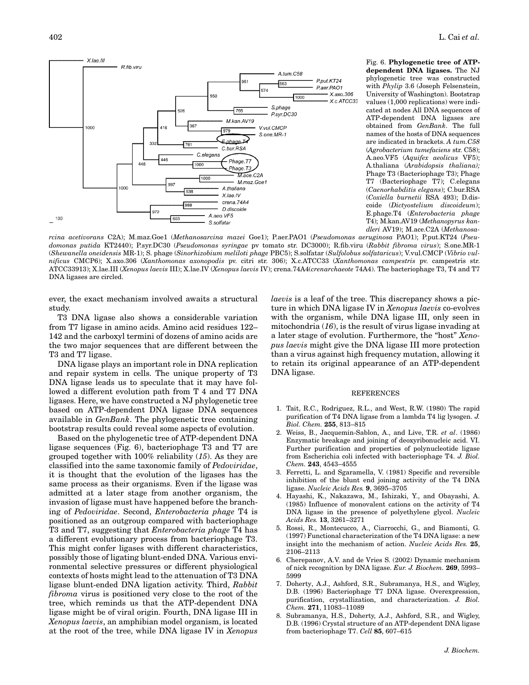

Fig. 6. **Phylogenetic tree of ATPdependent DNA ligases.** The NJ phylogenetic tree was constructed with *Phylip* 3.6 (Joseph Felsenstein, University of Washington). Bootstrap values (1,000 replications) were indicated at nodes All DNA sequences of ATP-dependent DNA ligases are obtained from *GenBank*. The full names of the hosts of DNA sequences are indicated in brackets. *A tum.C58* (*Agrobacterium tumefaciens* str. C58); A.aeo.VF5 (*Aquifex aeolicus* VF5); A.thaliana (*Arabidopsis thaliana);* Phage T3 (Bacteriophage T3); Phage T7 (Bacteriophage T7); C.elegans (*Caenorhabditis elegans*); C.bur.RSA (*Coxiella burnetii* RSA 493); D.discoide (*Dictyostelium discoideum*); E.phage.T4 (*Enterobacteria phage* T4); M.kan.AV19 (*Methanopyrus kandleri* AV19); M.ace.C2A (*Methanosa-*

*rcina acetivorans* C2A); M.maz.Goe1 (*Methanosarcina mazei* Goe1); P.aer.PAO1 (*Pseudomonas aeruginosa* PAO1); P.put.KT24 (*Pseudomonas putida* KT2440); P.syr.DC30 (*Pseudomonas syringae* pv tomato str. DC3000); R.fib.viru (*Rabbit fibroma virus*); S.one.MR-1 (*Shewanella oneidensis* MR-1); S. phage (*Sinorhizobium meliloti phage* PBC5); S.solfatar (*Sulfolobus solfataricus*); V.vul.CMCP (*Vibrio vulnificus* CMCP6); X.axo.306 (*Xanthomonas axonopodis* pv. citri str. 306); X.c.ATCC33 (*Xanthomonas campestris* pv. campestris str. ATCC33913); X.lae.III (*Xenopus laevis* III); X.lae.IV (*Xenopus laevis* IV); crena.74A4(*crenarchaeote* 74A4). The bacteriophage T3, T4 and T7 DNA ligases are circled.

ever, the exact mechanism involved awaits a structural study.

T3 DNA ligase also shows a considerable variation from T7 ligase in amino acids. Amino acid residues 122– 142 and the carboxyl termini of dozens of amino acids are the two major sequences that are different between the T3 and T7 ligase.

DNA ligase plays an important role in DNA replication and repair system in cells. The unique property of T3 DNA ligase leads us to speculate that it may have followed a different evolution path from T 4 and T7 DNA ligases. Here, we have constructed a NJ phylogenetic tree based on ATP-dependent DNA ligase DNA sequences available in *GenBank*. The phylogenetic tree containing bootstrap results could reveal some aspects of evolution.

Based on the phylogenetic tree of ATP-dependent DNA ligase sequences (Fig. [6\)](#page-6-4), bacteriophage T3 and T7 are grouped together with 100% reliability (*[15](#page-6-7)*). As they are classified into the same taxonomic family of *Pedoviridae*, it is thought that the evolution of the ligases has the same process as their organisms. Even if the ligase was admitted at a later stage from another organism, the invasion of ligase must have happened before the branching of *Pedoviridae*. Second, *Enterobacteria phage* T4 is positioned as an outgroup compared with bacteriophage T3 and T7, suggesting that *Enterobacteria phage* T4 has a different evolutionary process from bacteriophage T3. This might confer ligases with different characteristics, possibly those of ligating blunt-ended DNA. Various environmental selective pressures or different physiological contexts of hosts might lead to the attenuation of T3 DNA ligase blunt-ended DNA ligation activity. Third, *Rabbit fibroma* virus is positioned very close to the root of the tree, which reminds us that the ATP-dependent DNA ligase might be of viral origin. Fourth, DNA ligase III in *Xenopus laevis*, an amphibian model organism, is located at the root of the tree, while DNA ligase IV in *Xenopus*

*laevis* is a leaf of the tree. This discrepancy shows a picture in which DNA ligase IV in *Xenopus laevis* co-evolves with the organism, while DNA ligase III, only seen in mitochondria (*[16](#page-6-8)*), is the result of virus ligase invading at a later stage of evolution. Furthermore, the "host" *Xenopus laevis* might give the DNA ligase III more protection than a virus against high frequency mutation, allowing it to retain its original appearance of an ATP-dependent DNA ligase.

#### REFERENCES

- <span id="page-5-0"></span>1. Tait, R.C., Rodriguez, R.L., and West, R.W. (1980) The rapid purification of T4 DNA ligase from a lambda T4 lig lysogen. *J. Biol. Chem.* **255**, 813–815
- <span id="page-5-1"></span>2. Weiss, B., Jacquemin-Sablon, A., and Live, T.R. *et al*. (1986) Enzymatic breakage and joining of deoxyribonucleic acid. VI. Further purification and properties of polynucleotide ligase from Escherichia coli infected with bacteriophage T4. *J. Biol. Chem.* **243**, 4543–4555
- <span id="page-5-2"></span>3. Ferretti, L. and Sgaramella, V. (1981) Specific and reversible inhibition of the blunt end joining activity of the T4 DNA ligase. *Nucleic Acids Res.* **9**, 3695–3705
- <span id="page-5-3"></span>4. Hayashi, K., Nakazawa, M., Ishizaki, Y., and Obayashi, A. (1985) Influence of monovalent cations on the activity of T4 DNA ligase in the presence of polyethylene glycol. *Nucleic Acids Res.* **13**, 3261–3271
- <span id="page-5-4"></span>5. Rossi, R., Montecucco, A., Ciarrocchi, G., and Biamonti, G. (1997) Functional characterization of the T4 DNA ligase: a new insight into the mechanism of action. *Nucleic Acids Res.* **25**, 2106–2113
- <span id="page-5-5"></span>6. Cherepanov, A.V. and de Vries S. (2002) Dynamic mechanism of nick recognition by DNA ligase. *Eur. J. Biochem.* **269**, 5993– 5999
- <span id="page-5-6"></span>7. Doherty, A.J., Ashford, S.R., Subramanya, H.S., and Wigley, D.B. (1996) Bacteriophage T7 DNA ligase. Overexpression, purification, crystallization, and characterization. *J. Biol. Chem.* **271**, 11083–11089
- <span id="page-5-7"></span>8. Subramanya, H.S., Doherty, A.J., Ashford, S.R., and Wigley, D.B. (1996) Crystal structure of an ATP-dependent DNA ligase from bacteriophage T7. *Cell* **85**, 607–615